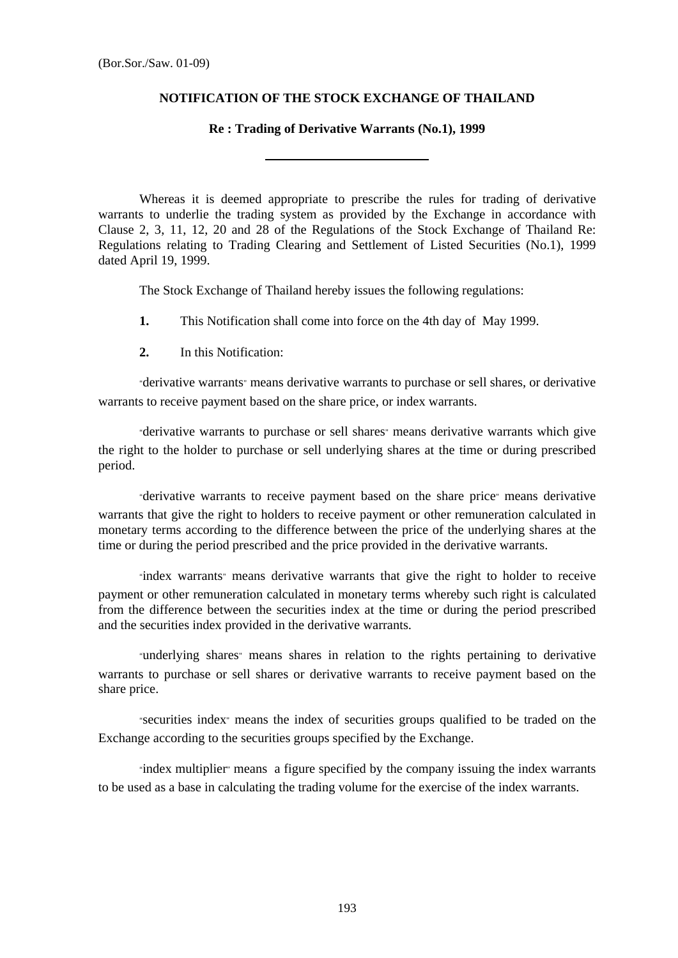# **NOTIFICATION OF THE STOCK EXCHANGE OF THAILAND**

## **Re : Trading of Derivative Warrants (No.1), 1999**

Whereas it is deemed appropriate to prescribe the rules for trading of derivative warrants to underlie the trading system as provided by the Exchange in accordance with Clause 2, 3, 11, 12, 20 and 28 of the Regulations of the Stock Exchange of Thailand Re: Regulations relating to Trading Clearing and Settlement of Listed Securities (No.1), 1999 dated April 19, 1999.

The Stock Exchange of Thailand hereby issues the following regulations:

- **1.** This Notification shall come into force on the 4th day of May 1999.
- **2.** In this Notification:

"derivative warrants" means derivative warrants to purchase or sell shares, or derivative warrants to receive payment based on the share price, or index warrants.

"derivative warrants to purchase or sell shares" means derivative warrants which give the right to the holder to purchase or sell underlying shares at the time or during prescribed period.

"derivative warrants to receive payment based on the share price" means derivative warrants that give the right to holders to receive payment or other remuneration calculated in monetary terms according to the difference between the price of the underlying shares at the time or during the period prescribed and the price provided in the derivative warrants.

"index warrants" means derivative warrants that give the right to holder to receive payment or other remuneration calculated in monetary terms whereby such right is calculated from the difference between the securities index at the time or during the period prescribed and the securities index provided in the derivative warrants.

"underlying shares" means shares in relation to the rights pertaining to derivative warrants to purchase or sell shares or derivative warrants to receive payment based on the share price.

"securities index" means the index of securities groups qualified to be traded on the Exchange according to the securities groups specified by the Exchange.

"index multiplier" means a figure specified by the company issuing the index warrants to be used as a base in calculating the trading volume for the exercise of the index warrants.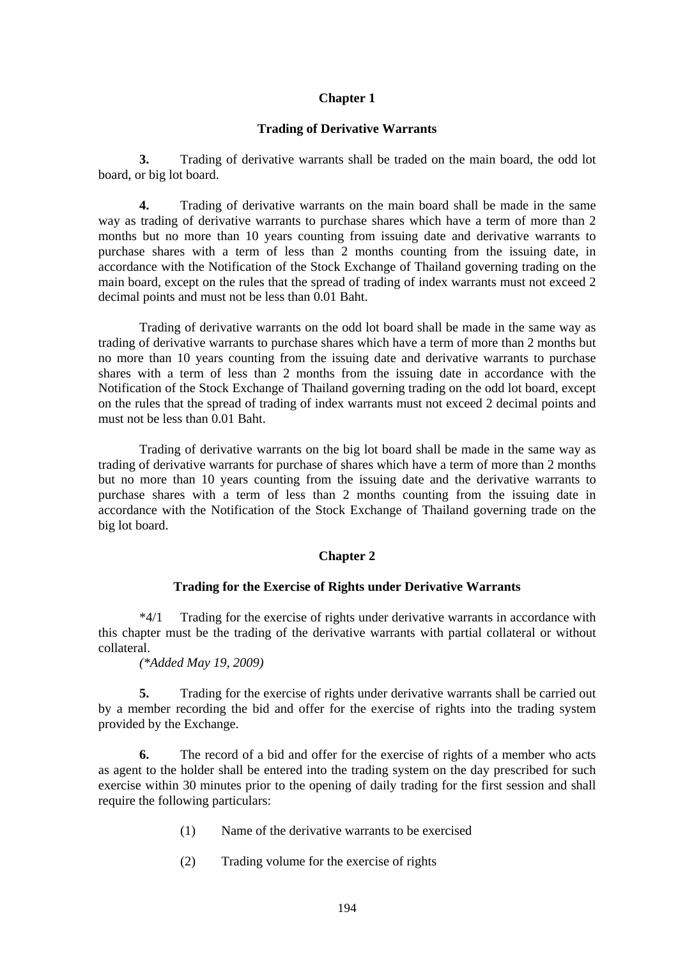## **Chapter 1**

### **Trading of Derivative Warrants**

**3.** Trading of derivative warrants shall be traded on the main board, the odd lot board, or big lot board.

**4.** Trading of derivative warrants on the main board shall be made in the same way as trading of derivative warrants to purchase shares which have a term of more than 2 months but no more than 10 years counting from issuing date and derivative warrants to purchase shares with a term of less than 2 months counting from the issuing date, in accordance with the Notification of the Stock Exchange of Thailand governing trading on the main board, except on the rules that the spread of trading of index warrants must not exceed 2 decimal points and must not be less than 0.01 Baht.

Trading of derivative warrants on the odd lot board shall be made in the same way as trading of derivative warrants to purchase shares which have a term of more than 2 months but no more than 10 years counting from the issuing date and derivative warrants to purchase shares with a term of less than 2 months from the issuing date in accordance with the Notification of the Stock Exchange of Thailand governing trading on the odd lot board, except on the rules that the spread of trading of index warrants must not exceed 2 decimal points and must not be less than 0.01 Baht.

Trading of derivative warrants on the big lot board shall be made in the same way as trading of derivative warrants for purchase of shares which have a term of more than 2 months but no more than 10 years counting from the issuing date and the derivative warrants to purchase shares with a term of less than 2 months counting from the issuing date in accordance with the Notification of the Stock Exchange of Thailand governing trade on the big lot board.

## **Chapter 2**

#### **Trading for the Exercise of Rights under Derivative Warrants**

 \*4/1 Trading for the exercise of rights under derivative warrants in accordance with this chapter must be the trading of the derivative warrants with partial collateral or without collateral.

*(\*Added May 19, 2009)* 

**5.** Trading for the exercise of rights under derivative warrants shall be carried out by a member recording the bid and offer for the exercise of rights into the trading system provided by the Exchange.

**6.** The record of a bid and offer for the exercise of rights of a member who acts as agent to the holder shall be entered into the trading system on the day prescribed for such exercise within 30 minutes prior to the opening of daily trading for the first session and shall require the following particulars:

- (1) Name of the derivative warrants to be exercised
- (2) Trading volume for the exercise of rights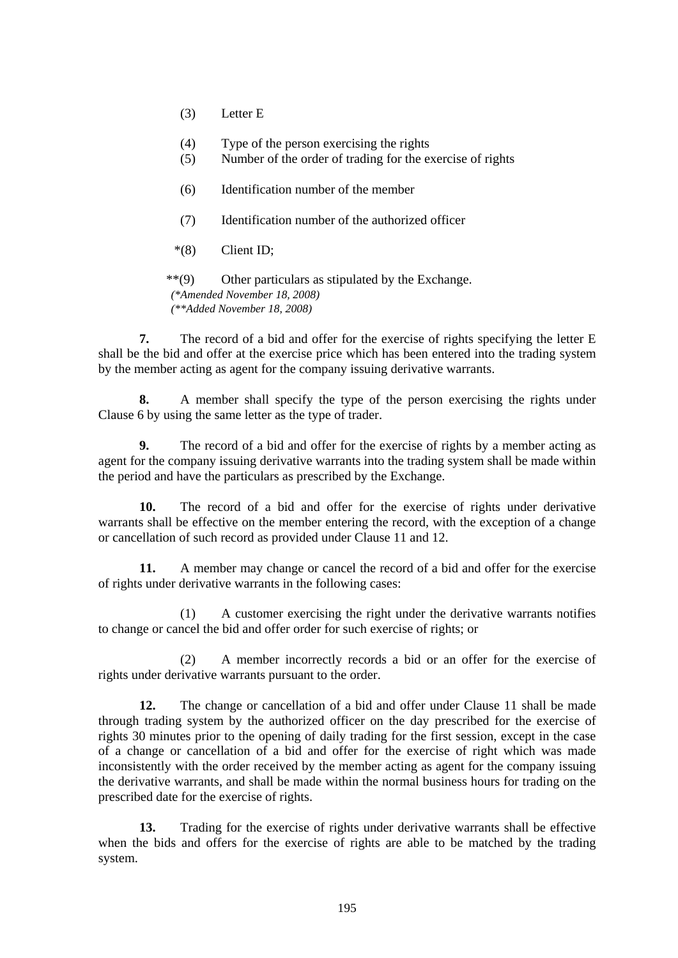- (3) Letter E
- (4) Type of the person exercising the rights
- (5) Number of the order of trading for the exercise of rights
- (6) Identification number of the member
- (7) Identification number of the authorized officer
- \*(8) Client ID;

 \*\*(9) Other particulars as stipulated by the Exchange. *(\*Amended November 18, 2008) (\*\*Added November 18, 2008)* 

**7.** The record of a bid and offer for the exercise of rights specifying the letter E shall be the bid and offer at the exercise price which has been entered into the trading system by the member acting as agent for the company issuing derivative warrants.

**8.** A member shall specify the type of the person exercising the rights under Clause 6 by using the same letter as the type of trader.

**9.** The record of a bid and offer for the exercise of rights by a member acting as agent for the company issuing derivative warrants into the trading system shall be made within the period and have the particulars as prescribed by the Exchange.

**10.** The record of a bid and offer for the exercise of rights under derivative warrants shall be effective on the member entering the record, with the exception of a change or cancellation of such record as provided under Clause 11 and 12.

**11.** A member may change or cancel the record of a bid and offer for the exercise of rights under derivative warrants in the following cases:

(1) A customer exercising the right under the derivative warrants notifies to change or cancel the bid and offer order for such exercise of rights; or

(2) A member incorrectly records a bid or an offer for the exercise of rights under derivative warrants pursuant to the order.

**12.** The change or cancellation of a bid and offer under Clause 11 shall be made through trading system by the authorized officer on the day prescribed for the exercise of rights 30 minutes prior to the opening of daily trading for the first session, except in the case of a change or cancellation of a bid and offer for the exercise of right which was made inconsistently with the order received by the member acting as agent for the company issuing the derivative warrants, and shall be made within the normal business hours for trading on the prescribed date for the exercise of rights.

**13.** Trading for the exercise of rights under derivative warrants shall be effective when the bids and offers for the exercise of rights are able to be matched by the trading system.